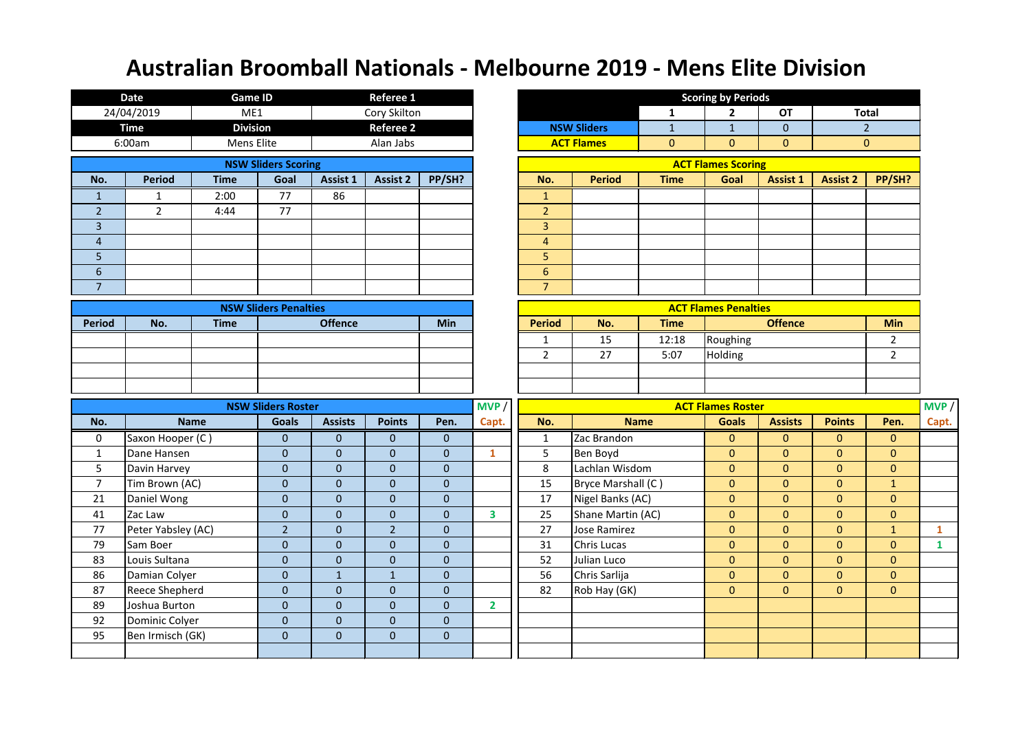|                | <b>Date</b>                        | <b>Game ID</b>  |                              |                           | <b>Referee 1</b> |                                 |                         |                 |                    |              | <b>Scoring by Periods</b>   |                |                 |                |              |
|----------------|------------------------------------|-----------------|------------------------------|---------------------------|------------------|---------------------------------|-------------------------|-----------------|--------------------|--------------|-----------------------------|----------------|-----------------|----------------|--------------|
|                | 24/04/2019                         | ME1             |                              |                           | Cory Skilton     |                                 |                         |                 |                    | 1            | $\overline{2}$              | <b>OT</b>      | <b>Total</b>    |                |              |
|                | <b>Time</b>                        | <b>Division</b> |                              |                           | <b>Referee 2</b> |                                 |                         |                 | <b>NSW Sliders</b> | $\mathbf{1}$ | $\mathbf{1}$                | $\overline{0}$ |                 | 2 <sup>1</sup> |              |
|                | 6:00am                             | Mens Elite      |                              |                           | Alan Jabs        |                                 |                         |                 | <b>ACT Flames</b>  | $\mathbf{0}$ | $\mathbf{0}$                | $\mathbf{0}$   |                 | $\overline{0}$ |              |
|                |                                    |                 | <b>NSW Sliders Scoring</b>   |                           |                  |                                 |                         |                 |                    |              | <b>ACT Flames Scoring</b>   |                |                 |                |              |
| No.            | <b>Period</b>                      | <b>Time</b>     | Goal                         | Assist 1                  | <b>Assist 2</b>  | PP/SH?                          |                         | No.             | <b>Period</b>      | <b>Time</b>  | Goal                        | Assist 1       | <b>Assist 2</b> | PP/SH?         |              |
| $\mathbf{1}$   | $\mathbf{1}$                       | 2:00            | 77                           | 86                        |                  |                                 |                         | $\mathbf{1}$    |                    |              |                             |                |                 |                |              |
| $\overline{2}$ | $\overline{2}$                     | 4:44            | 77                           |                           |                  |                                 |                         | $\overline{2}$  |                    |              |                             |                |                 |                |              |
| $\overline{3}$ |                                    |                 |                              |                           |                  |                                 |                         | $\overline{3}$  |                    |              |                             |                |                 |                |              |
| $\overline{4}$ |                                    |                 |                              |                           |                  |                                 |                         | $\overline{4}$  |                    |              |                             |                |                 |                |              |
| 5              |                                    |                 |                              |                           |                  |                                 |                         | 5               |                    |              |                             |                |                 |                |              |
| $6\,$          |                                    |                 |                              |                           |                  |                                 |                         | $6\overline{6}$ |                    |              |                             |                |                 |                |              |
| $\overline{7}$ |                                    |                 |                              |                           |                  |                                 |                         | $\overline{7}$  |                    |              |                             |                |                 |                |              |
|                |                                    |                 | <b>NSW Sliders Penalties</b> |                           |                  |                                 |                         |                 |                    |              | <b>ACT Flames Penalties</b> |                |                 |                |              |
| <b>Period</b>  | No.                                | <b>Time</b>     |                              | <b>Offence</b>            |                  | <b>Min</b>                      |                         | <b>Period</b>   | No.                | <b>Time</b>  |                             | <b>Offence</b> |                 | <b>Min</b>     |              |
|                |                                    |                 |                              |                           |                  |                                 |                         | 1               | 15                 | 12:18        | Roughing                    |                |                 | $\overline{2}$ |              |
|                |                                    |                 |                              |                           |                  |                                 |                         | $\overline{2}$  | 27                 | 5:07         | Holding                     |                |                 | $2^{\circ}$    |              |
|                |                                    |                 |                              |                           |                  |                                 |                         |                 |                    |              |                             |                |                 |                |              |
|                |                                    |                 |                              |                           |                  |                                 |                         |                 |                    |              |                             |                |                 |                |              |
|                |                                    |                 | <b>NSW Sliders Roster</b>    |                           |                  |                                 | MVP /                   |                 |                    |              | <b>ACT Flames Roster</b>    |                |                 |                | MVP /        |
| No.            |                                    | <b>Name</b>     | <b>Goals</b>                 | <b>Assists</b>            | <b>Points</b>    | Pen.                            | Capt.                   | No.             |                    | <b>Name</b>  | <b>Goals</b>                | <b>Assists</b> | <b>Points</b>   | Pen.           | Capt.        |
| $\mathbf 0$    | Saxon Hooper (C)                   |                 | $\overline{0}$               | $\mathbf{0}$              | $\overline{0}$   | $\overline{0}$                  |                         | $\mathbf{1}$    | Zac Brandon        |              | $\overline{0}$              | $\mathbf{0}$   | $\overline{0}$  | $\mathbf{0}$   |              |
| $\mathbf{1}$   | Dane Hansen                        |                 | $\mathbf{0}$                 | $\mathbf{0}$              | $\overline{0}$   | $\mathbf 0$                     | $\mathbf{1}$            | 5               | <b>Ben Boyd</b>    |              | $\mathbf{0}$                | $\mathbf{0}$   | $\mathbf{0}$    | $\mathbf{0}$   |              |
| 5              | Davin Harvey                       |                 | $\overline{0}$               | $\mathbf{0}$              | $\overline{0}$   | $\overline{0}$                  |                         | 8               | Lachlan Wisdom     |              | $\mathbf{0}$                | $\mathbf{0}$   | $\overline{0}$  | $\overline{0}$ |              |
| $\overline{7}$ | Tim Brown (AC)                     |                 | $\mathbf 0$                  | $\mathbf{0}$              | $\overline{0}$   | $\mathbf 0$                     |                         | 15              | Bryce Marshall (C) |              | $\mathbf{0}$                | $\mathbf{0}$   | $\overline{0}$  | $\mathbf{1}$   |              |
| 21             | Daniel Wong                        |                 | $\mathbf{0}$                 | $\mathbf{0}$              | $\overline{0}$   | $\mathbf 0$                     |                         | 17              | Nigel Banks (AC)   |              | $\mathbf{0}$                | $\mathbf{0}$   | $\overline{0}$  | $\overline{0}$ |              |
| 41             | Zac Law                            |                 | $\overline{0}$               | $\mathbf{0}$              | $\mathbf 0$      | $\mathbf 0$                     | $\overline{\mathbf{3}}$ | 25              | Shane Martin (AC)  |              | $\mathbf{0}$                | $\mathbf{0}$   | $\overline{0}$  | $\overline{0}$ |              |
| 77             | Peter Yabsley (AC)                 |                 | 2 <sup>2</sup>               | $\mathbf{0}$              | $\overline{2}$   | $\mathbf 0$                     |                         | 27              | Jose Ramirez       |              | $\mathbf{0}$                | $\mathbf{0}$   | $\mathbf{0}$    | $\mathbf{1}$   | $\mathbf{1}$ |
| 79             | Sam Boer                           |                 | $\overline{0}$               | $\pmb{0}$                 | $\overline{0}$   | $\mathbf 0$                     |                         | 31              | Chris Lucas        |              | $\mathbf{0}$                | $\mathbf{0}$   | $\overline{0}$  | $\mathbf{0}$   | $\mathbf{1}$ |
| 83             | Louis Sultana                      |                 | $\mathbf{0}$                 | $\overline{0}$            | $\mathbf{0}$     | $\mathbf 0$                     |                         | 52              | Julian Luco        |              | $\mathbf{0}$                | $\mathbf{0}$   | $\overline{0}$  | $\overline{0}$ |              |
| 86             | Damian Colyer                      |                 | $\overline{0}$               | $\mathbf{1}$              | $\mathbf{1}$     | $\boldsymbol{0}$                |                         | 56              | Chris Sarlija      |              | $\overline{0}$              | $\mathbf{0}$   | $\overline{0}$  | $\overline{0}$ |              |
| 87             | Reece Shepherd                     |                 | $\overline{0}$               | $\mathbf{0}$              | $\overline{0}$   | $\pmb{0}$                       |                         | 82              | Rob Hay (GK)       |              | $\overline{0}$              | $\overline{0}$ | $\overline{0}$  | $\overline{0}$ |              |
| 89             | Joshua Burton                      |                 | $\overline{0}$               | $\mathbf{0}$              | $\overline{0}$   | $\pmb{0}$                       | $\mathbf{2}$            |                 |                    |              |                             |                |                 |                |              |
| 92<br>95       | Dominic Colyer<br>Ben Irmisch (GK) |                 | $\overline{0}$               | $\mathbf{0}$<br>$\pmb{0}$ | $\overline{0}$   | $\mathbf 0$<br>$\boldsymbol{0}$ |                         |                 |                    |              |                             |                |                 |                |              |
|                |                                    |                 | $\boldsymbol{0}$             |                           | $\overline{0}$   |                                 |                         |                 |                    |              |                             |                |                 |                |              |
|                |                                    |                 |                              |                           |                  |                                 |                         |                 |                    |              |                             |                |                 |                |              |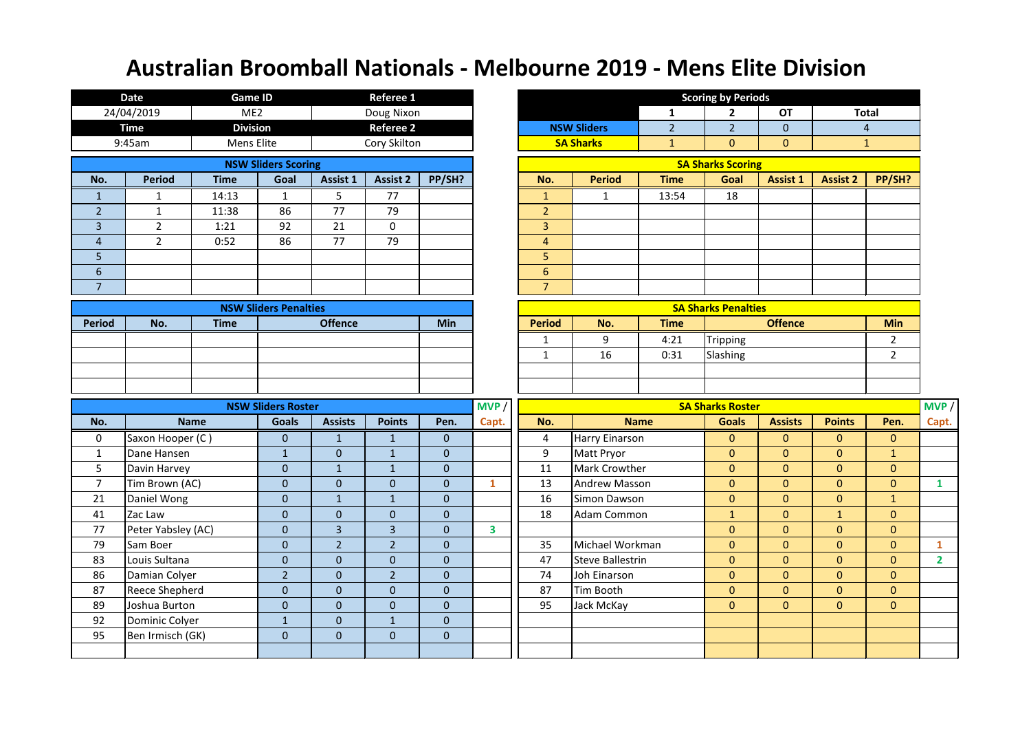|                  | <b>Date</b>        | <b>Game ID</b>  |                              |                  | Referee 1        |              |                         |                |                         |                       | <b>Scoring by Periods</b>  |                 |                 |                |                |
|------------------|--------------------|-----------------|------------------------------|------------------|------------------|--------------|-------------------------|----------------|-------------------------|-----------------------|----------------------------|-----------------|-----------------|----------------|----------------|
|                  | 24/04/2019         | ME <sub>2</sub> |                              |                  | Doug Nixon       |              |                         |                |                         | 1                     | $\mathbf{2}$               | <b>OT</b>       |                 | <b>Total</b>   |                |
|                  | <b>Time</b>        | <b>Division</b> |                              |                  | <b>Referee 2</b> |              |                         |                | <b>NSW Sliders</b>      | $\overline{2}$        | 2 <sup>2</sup>             | $\overline{0}$  |                 | $\overline{4}$ |                |
|                  | 9:45am             | Mens Elite      |                              |                  | Cory Skilton     |              |                         |                | <b>SA Sharks</b>        | $\mathbf{\mathbf{1}}$ | $\overline{0}$             | $\mathbf{0}$    |                 | $\mathbf{1}$   |                |
|                  |                    |                 | <b>NSW Sliders Scoring</b>   |                  |                  |              |                         |                |                         |                       | <b>SA Sharks Scoring</b>   |                 |                 |                |                |
| No.              | <b>Period</b>      | <b>Time</b>     | Goal                         | Assist 1         | <b>Assist 2</b>  | PP/SH?       |                         | No.            | <b>Period</b>           | <b>Time</b>           | Goal                       | <b>Assist 1</b> | <b>Assist 2</b> | PP/SH?         |                |
| $\mathbf{1}$     | $\mathbf{1}$       | 14:13           | $\mathbf{1}$                 | 5                | 77               |              |                         | $\mathbf{1}$   | $\mathbf{1}$            | 13:54                 | 18                         |                 |                 |                |                |
| $\overline{2}$   | 1                  | 11:38           | 86                           | 77               | 79               |              |                         | $\overline{2}$ |                         |                       |                            |                 |                 |                |                |
| $\overline{3}$   | $\overline{2}$     | 1:21            | 92                           | 21               | $\mathbf 0$      |              |                         | $\overline{3}$ |                         |                       |                            |                 |                 |                |                |
| $\overline{4}$   | $2^{\circ}$        | 0:52            | 86                           | 77               | 79               |              |                         | $\overline{4}$ |                         |                       |                            |                 |                 |                |                |
| $5\phantom{.}$   |                    |                 |                              |                  |                  |              |                         | 5              |                         |                       |                            |                 |                 |                |                |
| $6 \overline{6}$ |                    |                 |                              |                  |                  |              |                         | $6\phantom{1}$ |                         |                       |                            |                 |                 |                |                |
| $\overline{7}$   |                    |                 |                              |                  |                  |              |                         | $\overline{7}$ |                         |                       |                            |                 |                 |                |                |
|                  |                    |                 | <b>NSW Sliders Penalties</b> |                  |                  |              |                         |                |                         |                       | <b>SA Sharks Penalties</b> |                 |                 |                |                |
| <b>Period</b>    | No.                | <b>Time</b>     |                              | <b>Offence</b>   |                  | <b>Min</b>   |                         | <b>Period</b>  | No.                     | <b>Time</b>           |                            | <b>Offence</b>  |                 | <b>Min</b>     |                |
|                  |                    |                 |                              |                  |                  |              |                         | $\mathbf{1}$   | 9                       | 4:21                  | Tripping                   |                 |                 | $\overline{2}$ |                |
|                  |                    |                 |                              |                  |                  |              |                         | $\mathbf{1}$   | 16                      | 0:31                  | Slashing                   |                 |                 | $\overline{2}$ |                |
|                  |                    |                 |                              |                  |                  |              |                         |                |                         |                       |                            |                 |                 |                |                |
|                  |                    |                 |                              |                  |                  |              |                         |                |                         |                       |                            |                 |                 |                |                |
|                  |                    |                 | <b>NSW Sliders Roster</b>    |                  |                  |              | MVP                     |                |                         |                       | <b>SA Sharks Roster</b>    |                 |                 |                | MVP            |
| No.              | <b>Name</b>        |                 | <b>Goals</b>                 | <b>Assists</b>   | <b>Points</b>    | Pen.         | Capt.                   | No.            |                         | <b>Name</b>           | <b>Goals</b>               | <b>Assists</b>  | <b>Points</b>   | Pen.           | Capt.          |
| $\mathbf 0$      | Saxon Hooper (C)   |                 | 0                            | $\mathbf{1}$     | $\mathbf{1}$     | $\mathbf{0}$ |                         | 4              | <b>Harry Einarson</b>   |                       | $\overline{0}$             | $\mathbf{0}$    | $\mathbf{0}$    | $\mathbf{0}$   |                |
| 1                | Dane Hansen        |                 | $\mathbf{1}$                 | $\boldsymbol{0}$ | $\mathbf{1}$     | $\mathbf{0}$ |                         | 9              | Matt Pryor              |                       | $\overline{0}$             | $\mathbf{0}$    | $\overline{0}$  | $\mathbf{1}$   |                |
| 5                | Davin Harvey       |                 | $\overline{0}$               | $1\,$            | $\mathbf{1}$     | $\mathbf{0}$ |                         | 11             | Mark Crowther           |                       | $\overline{0}$             | $\mathbf{0}$    | $\overline{0}$  | $\mathbf{0}$   |                |
| $\overline{7}$   | Tim Brown (AC)     |                 | $\overline{0}$               | $\mathbf{0}$     | $\mathbf{0}$     | $\mathbf{0}$ | $\mathbf{1}$            | 13             | <b>Andrew Masson</b>    |                       | $\overline{0}$             | $\mathbf{0}$    | $\overline{0}$  | $\mathbf{0}$   | $\mathbf{1}$   |
| 21               | Daniel Wong        |                 | $\overline{0}$               | $1\,$            | $\mathbf{1}$     | $\mathbf 0$  |                         | 16             | Simon Dawson            |                       | $\overline{0}$             | $\mathbf{0}$    | $\overline{0}$  | $\mathbf{1}$   |                |
| 41               | Zac Law            |                 | $\overline{0}$               | $\overline{0}$   | $\overline{0}$   | $\mathbf 0$  |                         | 18             | Adam Common             |                       | $\mathbf{1}$               | $\mathbf{0}$    | $\mathbf{1}$    | $\mathbf{0}$   |                |
| 77               | Peter Yabsley (AC) |                 | $\overline{0}$               | 3                | $\overline{3}$   | $\mathbf{0}$ | $\overline{\mathbf{3}}$ |                |                         |                       | $\overline{0}$             | $\mathbf{0}$    | $\overline{0}$  | $\mathbf{0}$   |                |
| 79               | Sam Boer           |                 | $\overline{0}$               | $\overline{2}$   | $\overline{2}$   | $\mathbf 0$  |                         | 35             | Michael Workman         |                       | $\overline{0}$             | $\mathbf{0}$    | $\overline{0}$  | $\mathbf{0}$   | $\mathbf{1}$   |
| 83               | Louis Sultana      |                 | $\overline{0}$               | $\overline{0}$   | $\overline{0}$   | $\mathbf{0}$ |                         | 47             | <b>Steve Ballestrin</b> |                       | $\overline{0}$             | $\mathbf{0}$    | $\overline{0}$  | $\mathbf{0}$   | $\overline{2}$ |
| 86               | Damian Colyer      |                 | 2 <sup>1</sup>               | $\pmb{0}$        | 2 <sup>1</sup>   | $\pmb{0}$    |                         | 74             | Joh Einarson            |                       | $\overline{0}$             | $\mathbf{0}$    | $\overline{0}$  | $\mathbf{0}$   |                |
| 87               | Reece Shepherd     |                 | $\overline{0}$               | $\pmb{0}$        | $\overline{0}$   | $\pmb{0}$    |                         | 87             | Tim Booth               |                       | $\overline{0}$             | $\overline{0}$  | $\overline{0}$  | $\mathbf 0$    |                |
| 89               | Joshua Burton      |                 | $\boldsymbol{0}$             | $\bf 0$          | $\overline{0}$   | $\pmb{0}$    |                         | 95             | Jack McKay              |                       | $\overline{0}$             | $\mathbf{0}$    | $\overline{0}$  | $\mathbf{0}$   |                |
| 92               | Dominic Colyer     |                 | $\mathbf{1}$                 | $\mathbf 0$      | $\mathbf{1}$     | $\pmb{0}$    |                         |                |                         |                       |                            |                 |                 |                |                |
| 95               | Ben Irmisch (GK)   |                 | $\overline{0}$               | $\pmb{0}$        | $\boldsymbol{0}$ | $\pmb{0}$    |                         |                |                         |                       |                            |                 |                 |                |                |
|                  |                    |                 |                              |                  |                  |              |                         |                |                         |                       |                            |                 |                 |                |                |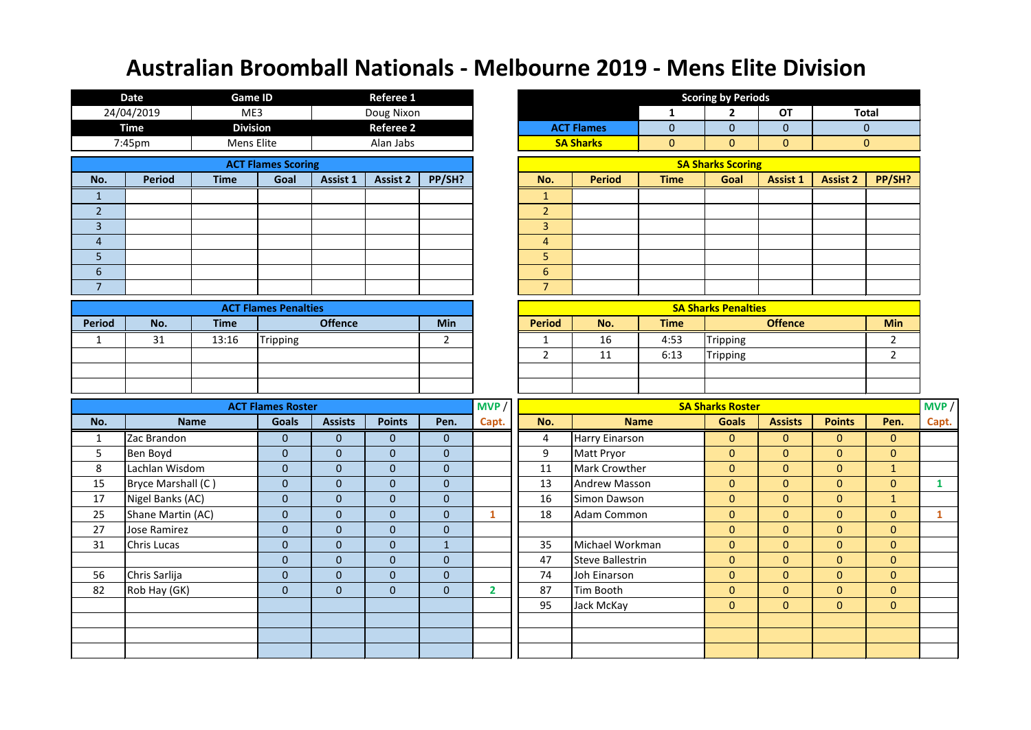|                 | <b>Date</b>         | <b>Game ID</b>  |                             |                 | <b>Referee 1</b> |                  |                |                 |                         |                  | <b>Scoring by Periods</b>  |                |                 |                |              |
|-----------------|---------------------|-----------------|-----------------------------|-----------------|------------------|------------------|----------------|-----------------|-------------------------|------------------|----------------------------|----------------|-----------------|----------------|--------------|
|                 | 24/04/2019          | ME3             |                             |                 | Doug Nixon       |                  |                |                 |                         | 1                | $\overline{2}$             | <b>OT</b>      |                 | <b>Total</b>   |              |
|                 | <b>Time</b>         | <b>Division</b> |                             |                 | <b>Referee 2</b> |                  |                |                 | <b>ACT Flames</b>       | $\boldsymbol{0}$ | $\mathbf{0}$               | $\mathbf{0}$   |                 | $\overline{0}$ |              |
|                 | 7:45pm              | Mens Elite      |                             |                 | Alan Jabs        |                  |                |                 | <b>SA Sharks</b>        | $\boldsymbol{0}$ | $\mathbf{0}$               | $\mathbf{0}$   |                 | $\mathbf{0}$   |              |
|                 |                     |                 | <b>ACT Flames Scoring</b>   |                 |                  |                  |                |                 |                         |                  | <b>SA Sharks Scoring</b>   |                |                 |                |              |
| No.             | <b>Period</b>       | <b>Time</b>     | Goal                        | <b>Assist 1</b> | <b>Assist 2</b>  | PP/SH?           |                | No.             | <b>Period</b>           | <b>Time</b>      | Goal                       | Assist 1       | <b>Assist 2</b> | PP/SH?         |              |
| $\mathbf{1}$    |                     |                 |                             |                 |                  |                  |                | $\mathbf{1}$    |                         |                  |                            |                |                 |                |              |
| $\overline{2}$  |                     |                 |                             |                 |                  |                  |                | 2 <sup>2</sup>  |                         |                  |                            |                |                 |                |              |
| $\overline{3}$  |                     |                 |                             |                 |                  |                  |                | $\overline{3}$  |                         |                  |                            |                |                 |                |              |
| $\overline{4}$  |                     |                 |                             |                 |                  |                  |                | $\overline{4}$  |                         |                  |                            |                |                 |                |              |
| 5               |                     |                 |                             |                 |                  |                  |                | 5               |                         |                  |                            |                |                 |                |              |
| $6\phantom{.}$  |                     |                 |                             |                 |                  |                  |                | $6\overline{6}$ |                         |                  |                            |                |                 |                |              |
| $7\overline{ }$ |                     |                 |                             |                 |                  |                  |                | $\overline{7}$  |                         |                  |                            |                |                 |                |              |
|                 |                     |                 | <b>ACT Flames Penalties</b> |                 |                  |                  |                |                 |                         |                  | <b>SA Sharks Penalties</b> |                |                 |                |              |
| <b>Period</b>   | No.                 | <b>Time</b>     |                             | <b>Offence</b>  |                  | Min              |                | <b>Period</b>   | No.                     | <b>Time</b>      |                            | <b>Offence</b> |                 | <b>Min</b>     |              |
| $\mathbf{1}$    | 31                  | 13:16           | <b>Tripping</b>             |                 |                  | 2                |                | 1               | 16                      | 4:53             | <b>Tripping</b>            |                |                 | $\mathbf{2}$   |              |
|                 |                     |                 |                             |                 |                  |                  |                | $\overline{2}$  | 11                      | 6:13             | Tripping                   |                |                 | $2^{\circ}$    |              |
|                 |                     |                 |                             |                 |                  |                  |                |                 |                         |                  |                            |                |                 |                |              |
|                 |                     |                 |                             |                 |                  |                  |                |                 |                         |                  |                            |                |                 |                |              |
|                 |                     |                 | <b>ACT Flames Roster</b>    |                 |                  |                  | MVP            |                 |                         |                  | <b>SA Sharks Roster</b>    |                |                 |                | MVP /        |
| No.             |                     | <b>Name</b>     | <b>Goals</b>                | <b>Assists</b>  | <b>Points</b>    | Pen.             | Capt.          | No.             |                         | <b>Name</b>      | <b>Goals</b>               | <b>Assists</b> | <b>Points</b>   | Pen.           | Capt.        |
| $\mathbf{1}$    | Zac Brandon         |                 | $\mathbf{0}$                | $\mathbf{0}$    | $\mathbf{0}$     | $\mathbf{0}$     |                | $\overline{4}$  | <b>Harry Einarson</b>   |                  | $\overline{0}$             | $\overline{0}$ | $\mathbf{0}$    | $\mathbf{0}$   |              |
| 5               | Ben Boyd            |                 | $\Omega$                    | $\mathbf{0}$    | $\overline{0}$   |                  |                |                 |                         |                  |                            |                |                 |                |              |
| 8               | Lachlan Wisdom      |                 |                             |                 |                  | $\mathbf{0}$     |                | 9               | Matt Pryor              |                  | $\mathbf{0}$               | $\overline{0}$ | $\mathbf{0}$    | $\mathbf{0}$   |              |
| 15              |                     |                 | $\mathbf{0}$                | $\mathbf{0}$    | $\overline{0}$   | $\mathbf{0}$     |                | 11              | <b>Mark Crowther</b>    |                  | $\mathbf{0}$               | $\overline{0}$ | $\overline{0}$  | $\mathbf{1}$   |              |
|                 | Bryce Marshall (C)  |                 | $\mathbf{0}$                | $\mathbf{0}$    | $\overline{0}$   | $\boldsymbol{0}$ |                | 13              | <b>Andrew Masson</b>    |                  | $\bf 0$                    | $\mathbf{0}$   | $\overline{0}$  | $\mathbf{0}$   | $\mathbf{1}$ |
| 17              | Nigel Banks (AC)    |                 | $\mathbf{0}$                | $\bf 0$         | $\overline{0}$   | $\boldsymbol{0}$ |                | 16              | Simon Dawson            |                  | $\bf 0$                    | $\overline{0}$ | $\mathbf{0}$    | $\mathbf{1}$   |              |
| 25              | Shane Martin (AC)   |                 | $\mathbf{0}$                | $\mathbf{0}$    | $\overline{0}$   | $\mathbf{0}$     | $\mathbf{1}$   | 18              | Adam Common             |                  | $\overline{0}$             | $\overline{0}$ | $\overline{0}$  | $\mathbf{0}$   | $\mathbf{1}$ |
| 27              | <b>Jose Ramirez</b> |                 | $\mathbf{0}$                | $\mathbf{0}$    | $\overline{0}$   | $\boldsymbol{0}$ |                |                 |                         |                  | $\mathbf{0}$               | $\pmb{0}$      | $\mathbf{0}$    | $\mathbf{0}$   |              |
| 31              | <b>Chris Lucas</b>  |                 | $\mathbf{0}$                | $\pmb{0}$       | $\overline{0}$   | $\mathbf 1$      |                | 35              | Michael Workman         |                  | $\bf 0$                    | $\pmb{0}$      | $\mathbf 0$     | $\mathbf{0}$   |              |
|                 |                     |                 | $\mathbf{0}$                | $\mathbf{0}$    | 0                | $\mathbf 0$      |                | 47              | <b>Steve Ballestrin</b> |                  | $\mathbf{0}$               | $\overline{0}$ | $\mathbf{0}$    | $\mathbf{0}$   |              |
| 56              | Chris Sarlija       |                 | $\overline{0}$              | $\bf 0$         | $\overline{0}$   | $\pmb{0}$        |                | 74              | Joh Einarson            |                  | $\mathbf{0}$               | $\overline{0}$ | $\overline{0}$  | $\mathbf{0}$   |              |
| 82              | Rob Hay (GK)        |                 | $\overline{0}$              | $\mathbf{0}$    | $\overline{0}$   | $\mathbf 0$      | $\overline{2}$ | 87              | Tim Booth               |                  | $\pmb{0}$                  | $\pmb{0}$      | $\mathbf{0}$    | $\mathbf{0}$   |              |
|                 |                     |                 |                             |                 |                  |                  |                | 95              | Jack McKay              |                  | $\pmb{0}$                  | $\mathbf{0}$   | $\mathbf{0}$    | $\mathbf{0}$   |              |
|                 |                     |                 |                             |                 |                  |                  |                |                 |                         |                  |                            |                |                 |                |              |
|                 |                     |                 |                             |                 |                  |                  |                |                 |                         |                  |                            |                |                 |                |              |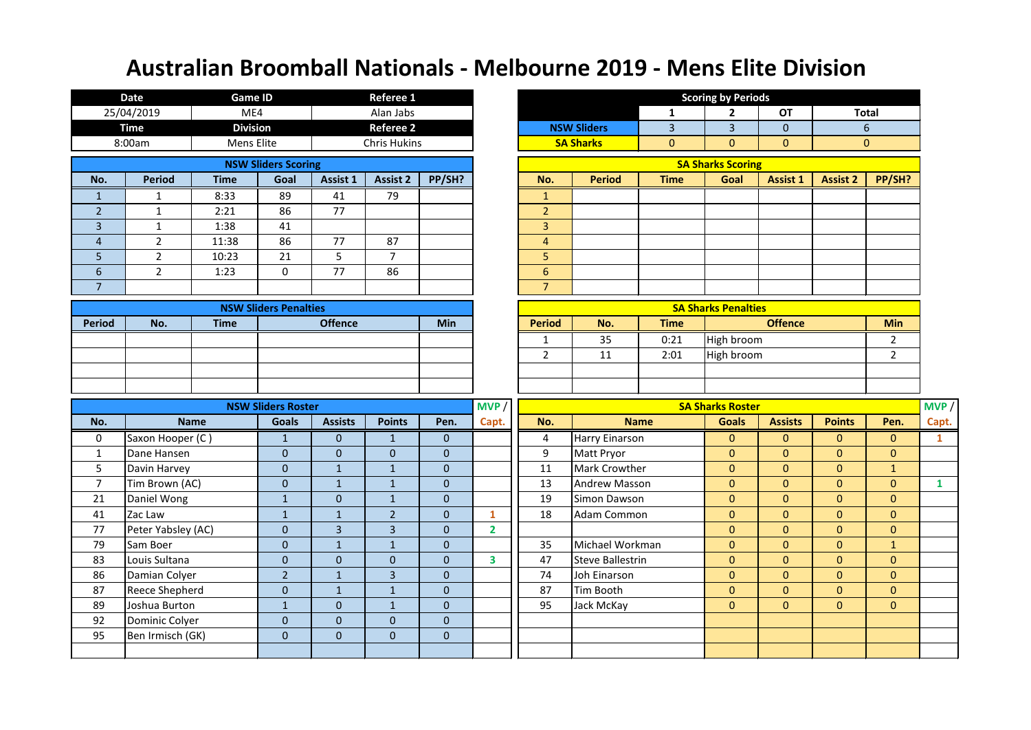|                | <b>Date</b>           | <b>Game ID</b>  |                              |                  | <b>Referee 1</b>    |              |                         |                |                         |                | <b>Scoring by Periods</b>  |                 |                 |                  |              |
|----------------|-----------------------|-----------------|------------------------------|------------------|---------------------|--------------|-------------------------|----------------|-------------------------|----------------|----------------------------|-----------------|-----------------|------------------|--------------|
|                | 25/04/2019            | ME4             |                              |                  | Alan Jabs           |              |                         |                |                         | 1              | $\mathbf{2}$               | <b>OT</b>       |                 | <b>Total</b>     |              |
|                | <b>Time</b>           | <b>Division</b> |                              |                  | <b>Referee 2</b>    |              |                         |                | <b>NSW Sliders</b>      | $\overline{3}$ | $\overline{3}$             | $\mathbf{0}$    |                 | 6                |              |
|                | 8:00am                | Mens Elite      |                              |                  | <b>Chris Hukins</b> |              |                         |                | <b>SA Sharks</b>        | $\overline{0}$ | $\overline{0}$             | $\mathbf{0}$    |                 | $\overline{0}$   |              |
|                |                       |                 | <b>NSW Sliders Scoring</b>   |                  |                     |              |                         |                |                         |                | <b>SA Sharks Scoring</b>   |                 |                 |                  |              |
| No.            | <b>Period</b>         | <b>Time</b>     | Goal                         | Assist 1         | <b>Assist 2</b>     | PP/SH?       |                         | No.            | <b>Period</b>           | <b>Time</b>    | Goal                       | <b>Assist 1</b> | <b>Assist 2</b> | PP/SH?           |              |
| $\mathbf{1}$   | $\mathbf{1}$          | 8:33            | 89                           | 41               | 79                  |              |                         | $\mathbf{1}$   |                         |                |                            |                 |                 |                  |              |
| $\overline{2}$ | 1                     | 2:21            | 86                           | 77               |                     |              |                         | $\overline{2}$ |                         |                |                            |                 |                 |                  |              |
| $\overline{3}$ | $\mathbf{1}$          | 1:38            | 41                           |                  |                     |              |                         | $\overline{3}$ |                         |                |                            |                 |                 |                  |              |
| $\overline{4}$ | $2^{\circ}$           | 11:38           | 86                           | 77               | 87                  |              |                         | $\overline{4}$ |                         |                |                            |                 |                 |                  |              |
| 5              | $2^{\circ}$           | 10:23           | 21                           | 5                | $\overline{7}$      |              |                         | 5              |                         |                |                            |                 |                 |                  |              |
| $6\,$          | $2^{\circ}$           | 1:23            | 0                            | 77               | 86                  |              |                         | $6\phantom{a}$ |                         |                |                            |                 |                 |                  |              |
| $\overline{7}$ |                       |                 |                              |                  |                     |              |                         | $\overline{7}$ |                         |                |                            |                 |                 |                  |              |
|                |                       |                 | <b>NSW Sliders Penalties</b> |                  |                     |              |                         |                |                         |                | <b>SA Sharks Penalties</b> |                 |                 |                  |              |
| <b>Period</b>  | No.                   | <b>Time</b>     |                              | <b>Offence</b>   |                     | <b>Min</b>   |                         | <b>Period</b>  | No.                     | <b>Time</b>    |                            | <b>Offence</b>  |                 | <b>Min</b>       |              |
|                |                       |                 |                              |                  |                     |              |                         | $\mathbf{1}$   | 35                      | 0:21           | High broom                 |                 |                 | $\overline{2}$   |              |
|                |                       |                 |                              |                  |                     |              |                         | $2^{\circ}$    | 11                      | 2:01           | High broom                 |                 |                 | $\overline{2}$   |              |
|                |                       |                 |                              |                  |                     |              |                         |                |                         |                |                            |                 |                 |                  |              |
|                |                       |                 |                              |                  |                     |              |                         |                |                         |                |                            |                 |                 |                  |              |
|                |                       |                 | <b>NSW Sliders Roster</b>    |                  |                     |              | MVP                     |                |                         |                | <b>SA Sharks Roster</b>    |                 |                 |                  | MVP          |
| No.            | <b>Name</b>           |                 | <b>Goals</b>                 | <b>Assists</b>   | <b>Points</b>       | Pen.         | Capt.                   | No.            |                         | <b>Name</b>    | <b>Goals</b>               | <b>Assists</b>  | <b>Points</b>   | Pen.             | Capt.        |
| $\mathbf 0$    | Saxon Hooper (C)      |                 | $\mathbf{1}$                 | $\mathbf{0}$     | $\mathbf{1}$        | $\mathbf{0}$ |                         | $\overline{4}$ | Harry Einarson          |                | $\mathbf{0}$               | $\mathbf{0}$    | $\mathbf{0}$    | $\mathbf{0}$     | $\mathbf{1}$ |
| 1              | Dane Hansen           |                 | $\overline{0}$               | $\mathbf{0}$     | $\overline{0}$      | $\mathbf{0}$ |                         | 9              | Matt Pryor              |                | $\overline{0}$             | $\overline{0}$  | $\overline{0}$  | $\mathbf{0}$     |              |
| 5              | Davin Harvey          |                 | $\mathbf 0$                  | $\mathbf{1}$     | $\mathbf{1}$        | $\mathbf{0}$ |                         | 11             | Mark Crowther           |                | $\overline{0}$             | $\mathbf{0}$    | $\overline{0}$  | $\mathbf{1}$     |              |
| $\overline{7}$ | Tim Brown (AC)        |                 | $\mathbf 0$                  | $\mathbf{1}$     | $\mathbf{1}$        | $\mathbf 0$  |                         | 13             | <b>Andrew Masson</b>    |                | $\overline{0}$             | $\mathbf{0}$    | $\mathbf{0}$    | $\boldsymbol{0}$ | $\mathbf{1}$ |
| 21             | Daniel Wong           |                 | $\mathbf{1}$                 | $\mathbf{0}$     | $\mathbf{1}$        | $\mathbf{0}$ |                         | 19             | Simon Dawson            |                | $\overline{0}$             | $\overline{0}$  | $\overline{0}$  | $\mathbf{0}$     |              |
| 41             | Zac Law               |                 | $\mathbf{1}$                 | $\mathbf{1}$     | $\overline{2}$      | $\mathbf{0}$ | $\mathbf{1}$            | 18             | Adam Common             |                | $\overline{0}$             | $\mathbf{0}$    | $\overline{0}$  | $\mathbf{0}$     |              |
| 77             | Peter Yabsley (AC)    |                 | $\overline{0}$               | $\overline{3}$   | $\overline{3}$      | $\mathbf{0}$ | $\overline{2}$          |                |                         |                | $\overline{0}$             | $\overline{0}$  | $\overline{0}$  | $\mathbf{0}$     |              |
| 79             | Sam Boer              |                 | $\mathbf 0$                  | $\mathbf{1}$     | $\mathbf{1}$        | $\mathbf 0$  |                         | 35             | Michael Workman         |                | $\overline{0}$             | $\mathbf{0}$    | $\overline{0}$  | $\mathbf{1}$     |              |
| 83             | Louis Sultana         |                 | $\overline{0}$               | $\mathbf{0}$     | $\overline{0}$      | $\mathbf{0}$ | $\overline{\mathbf{3}}$ | 47             | <b>Steve Ballestrin</b> |                | $\mathbf{0}$               | $\pmb{0}$       | 0               | $\mathbf{0}$     |              |
| 86             | Damian Colyer         |                 | $\overline{2}$               | $1\,$            | $\overline{3}$      | $\mathbf 0$  |                         | 74             | Joh Einarson            |                | $\overline{0}$             | $\overline{0}$  | $\overline{0}$  | $\overline{0}$   |              |
| 87             | <b>Reece Shepherd</b> |                 | $\overline{0}$               | $\mathbf 1$      | $1\,$               | $\pmb{0}$    |                         | 87             | Tim Booth               |                | $\overline{0}$             | $\overline{0}$  | $\overline{0}$  | $\mathbf{0}$     |              |
| 89             |                       |                 |                              | $\mathbf{0}$     | $\mathbf{1}$        | $\bf 0$      |                         | 95             | Jack McKay              |                | $\overline{0}$             | $\mathbf{0}$    | $\overline{0}$  | $\mathbf{0}$     |              |
|                | Joshua Burton         |                 | $\mathbf{1}$                 |                  |                     |              |                         |                |                         |                |                            |                 |                 |                  |              |
| 92             | Dominic Colyer        |                 | $\overline{0}$               | $\overline{0}$   | $\overline{0}$      | $\pmb{0}$    |                         |                |                         |                |                            |                 |                 |                  |              |
| 95             | Ben Irmisch (GK)      |                 | $\overline{0}$               | $\boldsymbol{0}$ | $\mathbf 0$         | $\pmb{0}$    |                         |                |                         |                |                            |                 |                 |                  |              |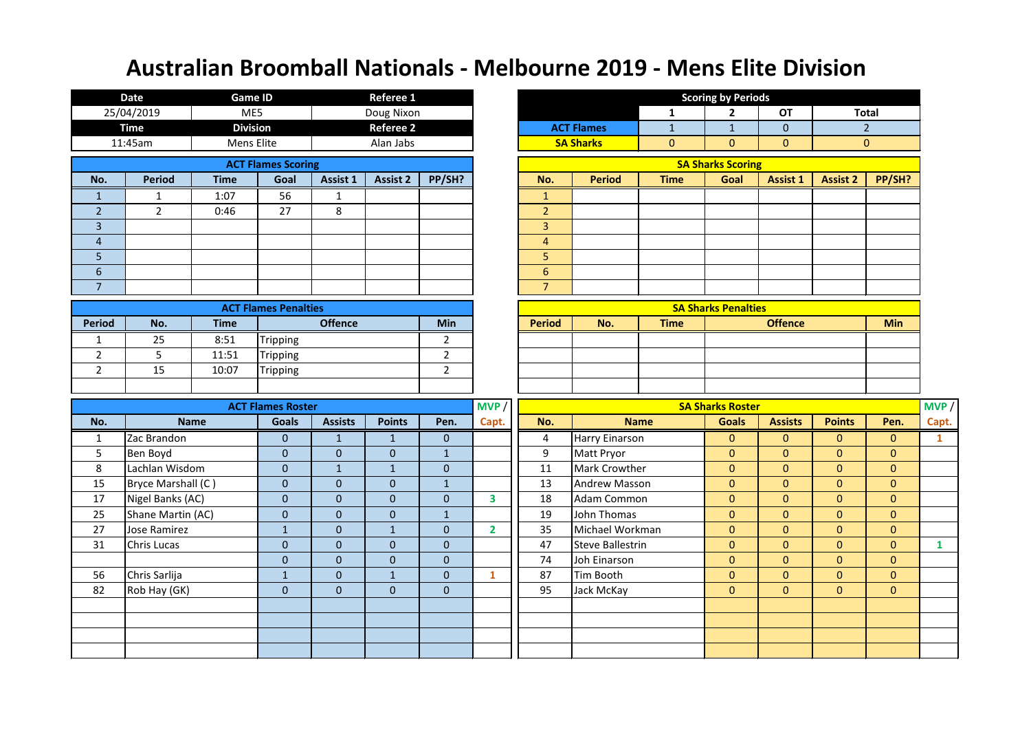|                | <b>Date</b>                   | <b>Game ID</b>  |                                |                                  | Referee 1                        |                                  |                         |                |                         |              | <b>Scoring by Periods</b>        |                                |                                  |                             |              |
|----------------|-------------------------------|-----------------|--------------------------------|----------------------------------|----------------------------------|----------------------------------|-------------------------|----------------|-------------------------|--------------|----------------------------------|--------------------------------|----------------------------------|-----------------------------|--------------|
|                | 25/04/2019                    | ME5             |                                |                                  | Doug Nixon                       |                                  |                         |                |                         | 1            | $\mathbf{2}$                     | <b>OT</b>                      |                                  | <b>Total</b>                |              |
|                | <b>Time</b>                   | <b>Division</b> |                                |                                  | <b>Referee 2</b>                 |                                  |                         |                | <b>ACT Flames</b>       | $\mathbf{1}$ | $\mathbf{1}$                     | $\mathbf{0}$                   |                                  | 2 <sup>1</sup>              |              |
|                | 11:45am                       | Mens Elite      |                                |                                  | Alan Jabs                        |                                  |                         |                | <b>SA Sharks</b>        | $\mathbf{0}$ | $\overline{0}$                   | $\mathbf{0}$                   |                                  | $\overline{0}$              |              |
|                |                               |                 | <b>ACT Flames Scoring</b>      |                                  |                                  |                                  |                         |                |                         |              | <b>SA Sharks Scoring</b>         |                                |                                  |                             |              |
| No.            | <b>Period</b>                 | <b>Time</b>     | Goal                           | Assist 1                         | <b>Assist 2</b>                  | PP/SH?                           |                         | No.            | <b>Period</b>           | <b>Time</b>  | Goal                             | Assist 1                       | <b>Assist 2</b>                  | PP/SH?                      |              |
| $\mathbf{1}$   | $\mathbf{1}$                  | 1:07            | 56                             | $\mathbf{1}$                     |                                  |                                  |                         | $\mathbf{1}$   |                         |              |                                  |                                |                                  |                             |              |
| $\overline{2}$ | $\overline{2}$                | 0:46            | 27                             | $\,8\,$                          |                                  |                                  |                         | $\overline{2}$ |                         |              |                                  |                                |                                  |                             |              |
| $\overline{3}$ |                               |                 |                                |                                  |                                  |                                  |                         | $\overline{3}$ |                         |              |                                  |                                |                                  |                             |              |
| $\overline{4}$ |                               |                 |                                |                                  |                                  |                                  |                         | $\overline{4}$ |                         |              |                                  |                                |                                  |                             |              |
| 5              |                               |                 |                                |                                  |                                  |                                  |                         | 5              |                         |              |                                  |                                |                                  |                             |              |
| $6\,$          |                               |                 |                                |                                  |                                  |                                  |                         | $6\phantom{1}$ |                         |              |                                  |                                |                                  |                             |              |
| $\overline{7}$ |                               |                 |                                |                                  |                                  |                                  |                         | $\overline{7}$ |                         |              |                                  |                                |                                  |                             |              |
|                |                               |                 | <b>ACT Flames Penalties</b>    |                                  |                                  |                                  |                         |                |                         |              | <b>SA Sharks Penalties</b>       |                                |                                  |                             |              |
| <b>Period</b>  | No.                           | <b>Time</b>     |                                | <b>Offence</b>                   |                                  | <b>Min</b>                       |                         | <b>Period</b>  | No.                     | <b>Time</b>  |                                  | <b>Offence</b>                 |                                  | <b>Min</b>                  |              |
| $\mathbf{1}$   | 25                            | 8:51            | <b>Tripping</b>                |                                  |                                  | $\overline{2}$                   |                         |                |                         |              |                                  |                                |                                  |                             |              |
| $\overline{2}$ | 5                             | 11:51           | <b>Tripping</b>                |                                  |                                  | $\overline{2}$                   |                         |                |                         |              |                                  |                                |                                  |                             |              |
| $\overline{2}$ | 15                            | 10:07           | <b>Tripping</b>                |                                  |                                  | $\overline{2}$                   |                         |                |                         |              |                                  |                                |                                  |                             |              |
|                |                               |                 |                                |                                  |                                  |                                  |                         |                |                         |              |                                  |                                |                                  |                             |              |
|                |                               |                 | <b>ACT Flames Roster</b>       |                                  |                                  |                                  | MVP                     |                |                         |              | <b>SA Sharks Roster</b>          |                                |                                  |                             | MVP/         |
| No.            |                               | <b>Name</b>     | <b>Goals</b>                   | <b>Assists</b>                   | <b>Points</b>                    | Pen.                             | Capt.                   | No.            |                         | <b>Name</b>  | <b>Goals</b>                     | <b>Assists</b>                 | <b>Points</b>                    | Pen.                        | Capt.        |
| $\mathbf{1}$   | Zac Brandon                   |                 | $\overline{0}$                 | $\mathbf{1}$                     | $\mathbf{1}$                     | $\overline{0}$                   |                         | 4              | Harry Einarson          |              | $\overline{0}$                   | $\mathbf{0}$                   | $\overline{0}$                   | $\mathbf{0}$                | $\mathbf{1}$ |
| 5              | Ben Boyd                      |                 | $\Omega$                       | $\mathbf{0}$                     | $\mathbf{0}$                     | $\mathbf{1}$                     |                         | 9              | Matt Pryor              |              | $\overline{0}$                   | $\mathbf{0}$                   | $\overline{0}$                   | $\mathbf{0}$                |              |
| 8              | Lachlan Wisdom                |                 | $\overline{0}$                 | $1\,$                            | $\mathbf{1}$                     | $\mathbf 0$                      |                         | 11             | Mark Crowther           |              | $\overline{0}$                   | $\mathbf{0}$                   | $\overline{0}$                   | $\overline{0}$              |              |
| 15             | Bryce Marshall (C)            |                 | $\overline{0}$                 | $\mathbf{0}$                     | $\overline{0}$                   | $\mathbf{1}$                     |                         | 13             | <b>Andrew Masson</b>    |              | $\overline{0}$                   | $\mathbf{0}$                   | $\overline{0}$                   | $\mathbf 0$                 |              |
| 17             | Nigel Banks (AC)              |                 | $\overline{0}$                 | $\mathbf{0}$                     | $\overline{0}$                   | $\overline{0}$                   | $\overline{\mathbf{3}}$ | 18             | Adam Common             |              | $\overline{0}$                   | $\mathbf{0}$                   | $\overline{0}$                   | $\mathbf 0$                 |              |
| 25             | Shane Martin (AC)             |                 | $\mathbf{0}$                   | $\mathbf{0}$                     | $\overline{0}$                   | $\mathbf{1}$                     |                         | 19             | John Thomas             |              | $\overline{0}$                   | $\mathbf{0}$                   | $\overline{0}$                   | $\mathbf 0$                 |              |
| 27             | <b>Jose Ramirez</b>           |                 | $\mathbf{1}$                   | $\mathbf{0}$                     | $\mathbf{1}$                     | $\mathbf{0}$                     | $\overline{2}$          | 35             | Michael Workman         |              | $\overline{0}$                   | $\mathbf{0}$                   | $\overline{0}$                   | $\mathbf 0$                 |              |
| 31             | <b>Chris Lucas</b>            |                 | $\overline{0}$                 | $\pmb{0}$                        | $\mathbf{0}$                     | $\mathbf 0$                      |                         | 47             | Steve Ballestrin        |              | $\overline{0}$                   | $\mathbf{0}$                   | $\overline{0}$                   | $\mathbf 0$                 | $\mathbf{1}$ |
|                |                               |                 | $\mathbf{0}$                   | $\mathbf{0}$                     | $\mathbf{0}$                     | $\mathbf{0}$                     |                         | 74             | Joh Einarson            |              | $\overline{0}$                   | $\mathbf{0}$                   | $\mathbf{0}$                     | $\mathbf{0}$                |              |
| 56<br>82       | Chris Sarlija<br>Rob Hay (GK) |                 | $\mathbf{1}$<br>$\overline{0}$ | $\boldsymbol{0}$<br>$\mathbf{0}$ | $\mathbf{1}$<br>$\boldsymbol{0}$ | $\mathbf{0}$<br>$\boldsymbol{0}$ | $\mathbf{1}$            | 87<br>95       | Tim Booth<br>Jack McKay |              | $\overline{0}$<br>$\overline{0}$ | $\mathbf{0}$<br>$\overline{0}$ | $\overline{0}$<br>$\overline{0}$ | $\overline{0}$<br>$\pmb{0}$ |              |
|                |                               |                 |                                |                                  |                                  |                                  |                         |                |                         |              |                                  |                                |                                  |                             |              |
|                |                               |                 |                                |                                  |                                  |                                  |                         |                |                         |              |                                  |                                |                                  |                             |              |
|                |                               |                 |                                |                                  |                                  |                                  |                         |                |                         |              |                                  |                                |                                  |                             |              |
|                |                               |                 |                                |                                  |                                  |                                  |                         |                |                         |              |                                  |                                |                                  |                             |              |
|                |                               |                 |                                |                                  |                                  |                                  |                         |                |                         |              |                                  |                                |                                  |                             |              |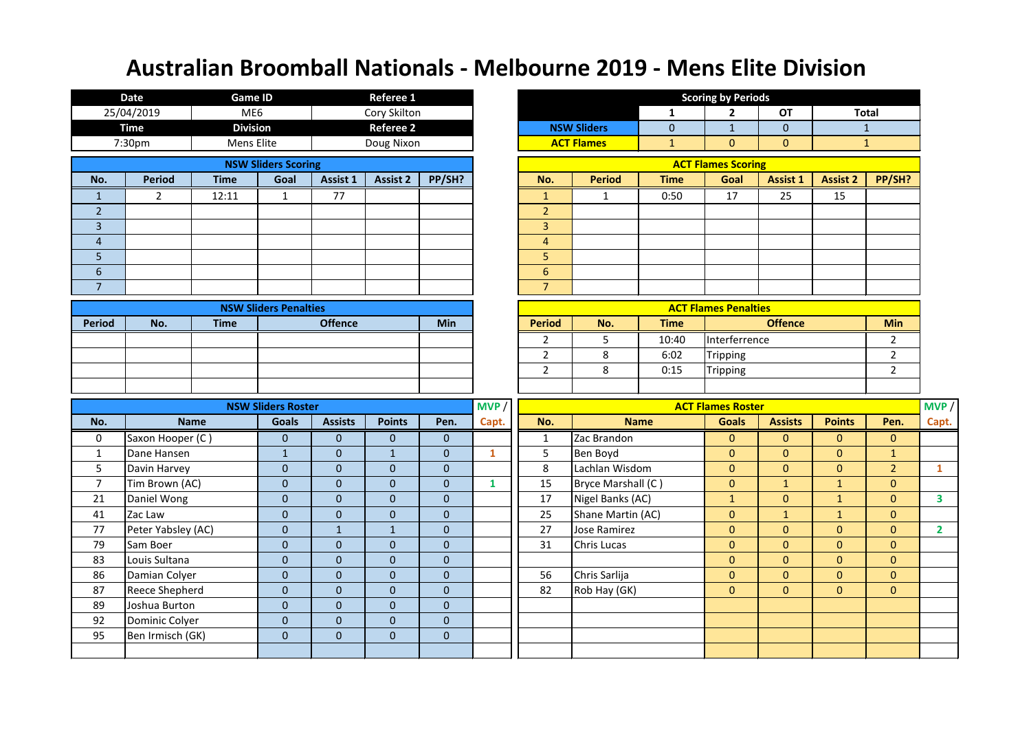|                | <b>Date</b>                        | <b>Game ID</b>  |                                  |                           | <b>Referee 1</b>                 |                          |              |                |                    |              | <b>Scoring by Periods</b>   |                |                 |                |                |
|----------------|------------------------------------|-----------------|----------------------------------|---------------------------|----------------------------------|--------------------------|--------------|----------------|--------------------|--------------|-----------------------------|----------------|-----------------|----------------|----------------|
|                | 25/04/2019                         | ME <sub>6</sub> |                                  |                           | Cory Skilton                     |                          |              |                |                    | 1            | $\overline{2}$              | <b>OT</b>      | <b>Total</b>    |                |                |
|                | <b>Time</b>                        | <b>Division</b> |                                  |                           | <b>Referee 2</b>                 |                          |              |                | <b>NSW Sliders</b> | $\mathbf{0}$ | $\mathbf{1}$                | $\mathbf 0$    |                 | $\mathbf{1}$   |                |
|                | 7:30pm                             | Mens Elite      |                                  |                           | Doug Nixon                       |                          |              |                | <b>ACT Flames</b>  | $\mathbf{1}$ | $\mathbf{0}$                | $\mathbf{0}$   |                 | $\mathbf{1}$   |                |
|                |                                    |                 | <b>NSW Sliders Scoring</b>       |                           |                                  |                          |              |                |                    |              | <b>ACT Flames Scoring</b>   |                |                 |                |                |
| No.            | <b>Period</b>                      | <b>Time</b>     | Goal                             | Assist 1                  | <b>Assist 2</b>                  | PP/SH?                   |              | No.            | <b>Period</b>      | <b>Time</b>  | Goal                        | Assist 1       | <b>Assist 2</b> | PP/SH?         |                |
| $\mathbf{1}$   | $\overline{2}$                     | 12:11           | $\mathbf{1}$                     | 77                        |                                  |                          |              | $\mathbf{1}$   | 1                  | 0:50         | 17                          | 25             | 15              |                |                |
| $\overline{2}$ |                                    |                 |                                  |                           |                                  |                          |              | $\overline{2}$ |                    |              |                             |                |                 |                |                |
| $\overline{3}$ |                                    |                 |                                  |                           |                                  |                          |              | $\overline{3}$ |                    |              |                             |                |                 |                |                |
| $\overline{4}$ |                                    |                 |                                  |                           |                                  |                          |              | $\overline{4}$ |                    |              |                             |                |                 |                |                |
| 5              |                                    |                 |                                  |                           |                                  |                          |              | 5              |                    |              |                             |                |                 |                |                |
| $6\,$          |                                    |                 |                                  |                           |                                  |                          |              | $6\phantom{1}$ |                    |              |                             |                |                 |                |                |
| $\overline{7}$ |                                    |                 |                                  |                           |                                  |                          |              | $\overline{7}$ |                    |              |                             |                |                 |                |                |
|                |                                    |                 | <b>NSW Sliders Penalties</b>     |                           |                                  |                          |              |                |                    |              | <b>ACT Flames Penalties</b> |                |                 |                |                |
| <b>Period</b>  | No.                                | <b>Time</b>     |                                  | <b>Offence</b>            |                                  | <b>Min</b>               |              | <b>Period</b>  | No.                | <b>Time</b>  |                             | <b>Offence</b> |                 | <b>Min</b>     |                |
|                |                                    |                 |                                  |                           |                                  |                          |              | 2              | 5                  | 10:40        | Interferrence               |                |                 | $\overline{2}$ |                |
|                |                                    |                 |                                  |                           |                                  |                          |              | $\overline{2}$ | 8                  | 6:02         | Tripping                    |                |                 | $\overline{2}$ |                |
|                |                                    |                 |                                  |                           |                                  |                          |              | $\overline{2}$ | 8                  | 0:15         | <b>Tripping</b>             |                |                 | $\overline{2}$ |                |
|                |                                    |                 |                                  |                           |                                  |                          |              |                |                    |              |                             |                |                 |                |                |
|                |                                    |                 | <b>NSW Sliders Roster</b>        |                           |                                  |                          | MVP /        |                |                    |              | <b>ACT Flames Roster</b>    |                |                 |                | MVP /          |
| No.            |                                    | <b>Name</b>     | <b>Goals</b>                     | <b>Assists</b>            | <b>Points</b>                    | Pen.                     | Capt.        | No.            |                    | <b>Name</b>  | <b>Goals</b>                | <b>Assists</b> | <b>Points</b>   | Pen.           | Capt.          |
| 0              | Saxon Hooper (C)                   |                 | $\mathbf{0}$                     | $\mathbf{0}$              | $\overline{0}$                   | $\mathbf{0}$             |              | $\mathbf{1}$   | Zac Brandon        |              | $\mathbf{0}$                | $\mathbf{0}$   | $\overline{0}$  | $\overline{0}$ |                |
| $\mathbf{1}$   | Dane Hansen                        |                 | $\mathbf{1}$                     | $\mathbf{0}$              | $\mathbf{1}$                     | $\mathbf 0$              | $\mathbf{1}$ | 5              | Ben Boyd           |              | $\mathbf{0}$                | $\mathbf{0}$   | $\overline{0}$  | $\mathbf{1}$   |                |
| 5              | Davin Harvey                       |                 | $\overline{0}$                   | $\mathbf{0}$              | $\overline{0}$                   | $\mathbf 0$              |              | 8              | Lachlan Wisdom     |              | $\mathbf{0}$                | $\mathbf{0}$   | $\overline{0}$  | 2 <sup>1</sup> | $\mathbf{1}$   |
| $\overline{7}$ | Tim Brown (AC)                     |                 | $\overline{0}$                   | $\mathbf{0}$              | $\overline{0}$                   | $\mathbf{0}$             | $\mathbf{1}$ | 15             | Bryce Marshall (C) |              | $\mathbf{0}$                | $\mathbf{1}$   | $\mathbf{1}$    | $\overline{0}$ |                |
| 21             | Daniel Wong                        |                 | $\mathbf{0}$                     | $\mathbf{0}$              | $\overline{0}$                   | $\boldsymbol{0}$         |              | 17             | Nigel Banks (AC)   |              | $\mathbf{1}$                | $\mathbf{0}$   | $\mathbf{1}$    | $\overline{0}$ | $\mathbf{3}$   |
| 41             | Zac Law                            |                 | $\mathbf{0}$                     | $\mathbf{0}$              | $\overline{0}$                   | $\mathbf 0$              |              | 25             | Shane Martin (AC)  |              | $\mathbf{0}$                | $\mathbf{1}$   | $\mathbf{1}$    | $\overline{0}$ |                |
| 77             | Peter Yabsley (AC)                 |                 | $\overline{0}$                   | $\mathbf{1}$              | $\mathbf{1}$                     | $\mathbf 0$              |              | 27             | Jose Ramirez       |              | $\mathbf{0}$                | $\mathbf{0}$   | $\overline{0}$  | $\overline{0}$ | $\overline{2}$ |
| 79             | Sam Boer                           |                 | $\overline{0}$                   | $\boldsymbol{0}$          | $\overline{0}$                   | $\mathbf 0$              |              | 31             | Chris Lucas        |              | $\mathbf 0$                 | $\mathbf{0}$   | $\overline{0}$  | $\overline{0}$ |                |
| 83             | Louis Sultana                      |                 | $\overline{0}$                   | $\mathbf{0}$              | 0                                | $\mathbf 0$              |              |                |                    |              | $\mathbf{0}$                | $\mathbf{0}$   | $\overline{0}$  | $\overline{0}$ |                |
| 86             | Damian Colyer                      |                 | $\overline{0}$                   | $\mathbf{0}$              | $\overline{0}$                   | $\pmb{0}$                |              | 56             | Chris Sarlija      |              | $\mathbf{0}$                | $\mathbf{0}$   | $\overline{0}$  | $\overline{0}$ |                |
| 87             | Reece Shepherd                     |                 | $\pmb{0}$                        | $\mathbf{0}$              | $\overline{0}$                   | $\pmb{0}$                |              | 82             | Rob Hay (GK)       |              | $\mathbf{0}$                | $\mathbf{0}$   | $\overline{0}$  | $\overline{0}$ |                |
| 89             | Joshua Burton                      |                 | $\mathbf{0}$                     | $\mathbf{0}$              | $\mathbf 0$                      | $\pmb{0}$                |              |                |                    |              |                             |                |                 |                |                |
| 92<br>95       | Dominic Colyer<br>Ben Irmisch (GK) |                 | $\overline{0}$<br>$\overline{0}$ | $\mathbf{0}$<br>$\pmb{0}$ | $\overline{0}$<br>$\overline{0}$ | $\mathbf 0$<br>$\pmb{0}$ |              |                |                    |              |                             |                |                 |                |                |
|                |                                    |                 |                                  |                           |                                  |                          |              |                |                    |              |                             |                |                 |                |                |
|                |                                    |                 |                                  |                           |                                  |                          |              |                |                    |              |                             |                |                 |                |                |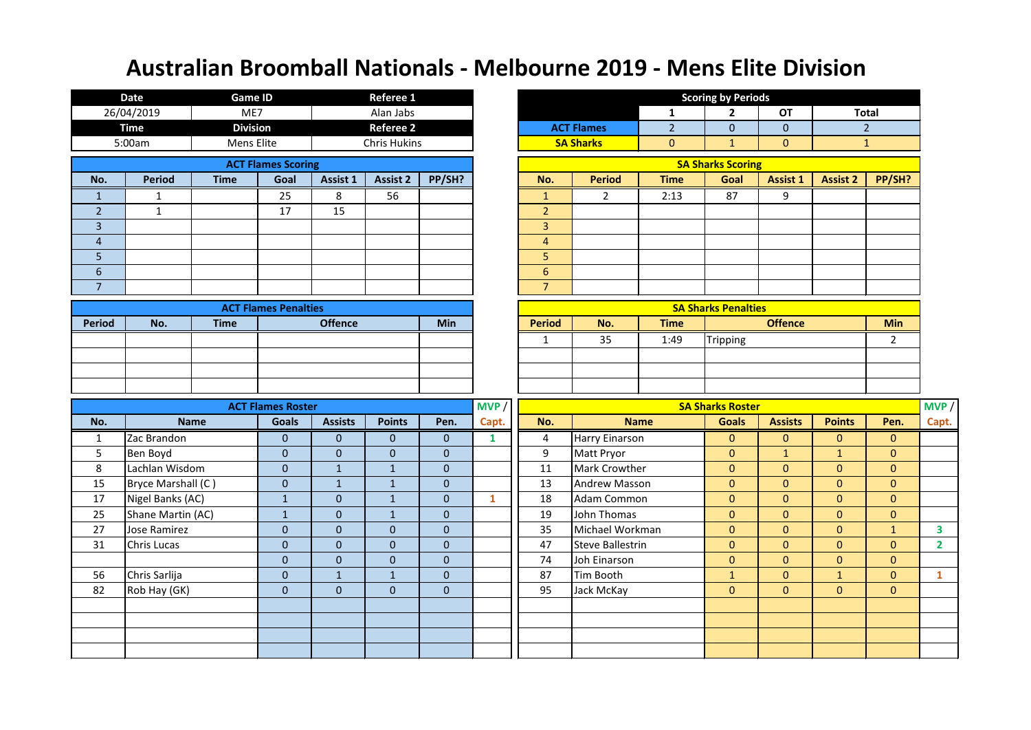|                | <b>Date</b>         | <b>Game ID</b>  |                                  |                           | <b>Referee 1</b>               |                              |              |                |                           |                | <b>Scoring by Periods</b>      |                                |                                |                                |                         |
|----------------|---------------------|-----------------|----------------------------------|---------------------------|--------------------------------|------------------------------|--------------|----------------|---------------------------|----------------|--------------------------------|--------------------------------|--------------------------------|--------------------------------|-------------------------|
|                | 26/04/2019          | ME7             |                                  |                           | Alan Jabs                      |                              |              |                |                           | 1              | $\mathbf{2}$                   | <b>OT</b>                      |                                | <b>Total</b>                   |                         |
|                | <b>Time</b>         | <b>Division</b> |                                  |                           | <b>Referee 2</b>               |                              |              |                | <b>ACT Flames</b>         | $\overline{2}$ | $\overline{0}$                 | $\overline{0}$                 |                                | 2 <sup>2</sup>                 |                         |
|                | 5:00am              | Mens Elite      |                                  |                           | <b>Chris Hukins</b>            |                              |              |                | <b>SA Sharks</b>          | $\mathbf{0}$   | $\mathbf{1}$                   | $\mathbf{0}$                   |                                | $\mathbf{1}$                   |                         |
|                |                     |                 | <b>ACT Flames Scoring</b>        |                           |                                |                              |              |                |                           |                | <b>SA Sharks Scoring</b>       |                                |                                |                                |                         |
| No.            | <b>Period</b>       | <b>Time</b>     | Goal                             | Assist 1                  | Assist 2                       | PP/SH?                       |              | No.            | <b>Period</b>             | <b>Time</b>    | Goal                           | <b>Assist 1</b>                | <b>Assist 2</b>                | PP/SH?                         |                         |
| $\mathbf{1}$   | $\mathbf{1}$        |                 | 25                               | 8                         | 56                             |                              |              | $\mathbf{1}$   | $2^{\circ}$               | 2:13           | 87                             | 9                              |                                |                                |                         |
| $\overline{2}$ | $\mathbf{1}$        |                 | 17                               | 15                        |                                |                              |              | $\overline{2}$ |                           |                |                                |                                |                                |                                |                         |
| $\overline{3}$ |                     |                 |                                  |                           |                                |                              |              | 3              |                           |                |                                |                                |                                |                                |                         |
| $\overline{4}$ |                     |                 |                                  |                           |                                |                              |              | $\overline{4}$ |                           |                |                                |                                |                                |                                |                         |
| 5              |                     |                 |                                  |                           |                                |                              |              | 5              |                           |                |                                |                                |                                |                                |                         |
| $\sqrt{6}$     |                     |                 |                                  |                           |                                |                              |              | $6\phantom{a}$ |                           |                |                                |                                |                                |                                |                         |
| $\overline{7}$ |                     |                 |                                  |                           |                                |                              |              | $\overline{7}$ |                           |                |                                |                                |                                |                                |                         |
|                |                     |                 | <b>ACT Flames Penalties</b>      |                           |                                |                              |              |                |                           |                | <b>SA Sharks Penalties</b>     |                                |                                |                                |                         |
| <b>Period</b>  | No.                 | <b>Time</b>     |                                  | <b>Offence</b>            |                                | <b>Min</b>                   |              | <b>Period</b>  | No.                       | <b>Time</b>    |                                | <b>Offence</b>                 |                                | <b>Min</b>                     |                         |
|                |                     |                 |                                  |                           |                                |                              |              | $\mathbf{1}$   | 35                        | 1:49           | Tripping                       |                                |                                | $\overline{2}$                 |                         |
|                |                     |                 |                                  |                           |                                |                              |              |                |                           |                |                                |                                |                                |                                |                         |
|                |                     |                 |                                  |                           |                                |                              |              |                |                           |                |                                |                                |                                |                                |                         |
|                |                     |                 |                                  |                           |                                |                              |              |                |                           |                |                                |                                |                                |                                |                         |
|                |                     |                 | <b>ACT Flames Roster</b>         |                           |                                |                              | MVP          |                |                           |                | <b>SA Sharks Roster</b>        |                                |                                |                                | MVP                     |
| No.            |                     | <b>Name</b>     | <b>Goals</b>                     | <b>Assists</b>            | <b>Points</b>                  | Pen.                         | Capt.        | No.            |                           | <b>Name</b>    | <b>Goals</b>                   | <b>Assists</b>                 | <b>Points</b>                  | Pen.                           | Capt.                   |
| $\mathbf{1}$   | Zac Brandon         |                 | $\mathbf{0}$                     | $\mathbf{0}$              | $\overline{0}$                 | $\overline{0}$               | $\mathbf{1}$ | 4              | <b>Harry Einarson</b>     |                | $\overline{0}$                 | $\mathbf{0}$                   | $\overline{0}$                 | $\mathbf{0}$                   |                         |
| 5              | Ben Boyd            |                 | $\overline{0}$                   | $\pmb{0}$                 | $\mathbf{0}$                   | $\mathbf{0}$                 |              | 9              | Matt Pryor                |                | $\overline{0}$                 | $\mathbf{1}$                   | $\mathbf{1}$                   | $\mathbf{0}$                   |                         |
| 8              | Lachlan Wisdom      |                 | $\overline{0}$                   | $\mathbf{1}$              | $\mathbf{1}$                   | $\mathbf{0}$                 |              | 11             | Mark Crowther             |                | $\overline{0}$                 | $\mathbf{0}$                   | $\mathbf{0}$                   | $\mathbf{0}$                   |                         |
| 15             | Bryce Marshall (C)  |                 | $\overline{0}$                   | $1\,$                     | $\mathbf{1}$                   | $\mathbf 0$                  |              | 13             | <b>Andrew Masson</b>      |                | $\overline{0}$                 | $\mathbf{0}$                   | $\overline{0}$                 | $\mathbf{0}$                   |                         |
| 17             | Nigel Banks (AC)    |                 | $\mathbf{1}$                     | $\boldsymbol{0}$          | $\mathbf{1}$                   | $\overline{0}$               | $\mathbf{1}$ | 18             | Adam Common               |                | $\overline{0}$                 | $\mathbf{0}$                   | $\overline{0}$                 | $\mathbf{0}$                   |                         |
| 25             | Shane Martin (AC)   |                 | $\mathbf{1}$                     | $\mathbf{0}$              | $\mathbf{1}$                   | $\mathbf{0}$                 |              | 19             | John Thomas               |                | $\overline{0}$                 | $\mathbf{0}$                   | $\overline{0}$                 | $\mathbf{0}$                   |                         |
| 27             | <b>Jose Ramirez</b> |                 | $\mathbf{0}$                     | $\mathbf{0}$              | $\overline{0}$                 | $\mathbf{0}$                 |              | 35             | Michael Workman           |                | $\overline{0}$                 | $\mathbf{0}$                   | $\overline{0}$                 | $\mathbf{1}$                   | $\overline{\mathbf{3}}$ |
| 31             | <b>Chris Lucas</b>  |                 | $\overline{0}$                   | $\mathbf 0$               | $\overline{0}$                 | $\mathbf 0$                  |              | 47             | Steve Ballestrin          |                | $\overline{0}$                 | $\mathbf{0}$                   | $\overline{0}$                 | $\overline{0}$                 | $\overline{2}$          |
| 56             | Chris Sarlija       |                 | $\overline{0}$<br>$\overline{0}$ | $\mathbf{0}$              | $\mathbf{0}$                   | $\mathbf{0}$<br>$\mathbf{0}$ |              | 74<br>87       | Joh Einarson<br>Tim Booth |                | $\overline{0}$                 | $\overline{0}$<br>$\mathbf{0}$ | $\overline{0}$<br>$\mathbf{1}$ | $\overline{0}$<br>$\mathbf{0}$ | $\mathbf{1}$            |
| 82             | Rob Hay (GK)        |                 | $\overline{0}$                   | $\mathbf{1}$<br>$\pmb{0}$ | $\mathbf{1}$<br>$\overline{0}$ | $\boldsymbol{0}$             |              | 95             | Jack McKay                |                | $\mathbf{1}$<br>$\overline{0}$ | $\overline{0}$                 | $\overline{0}$                 | $\mathbf{0}$                   |                         |
|                |                     |                 |                                  |                           |                                |                              |              |                |                           |                |                                |                                |                                |                                |                         |
|                |                     |                 |                                  |                           |                                |                              |              |                |                           |                |                                |                                |                                |                                |                         |
|                |                     |                 |                                  |                           |                                |                              |              |                |                           |                |                                |                                |                                |                                |                         |
|                |                     |                 |                                  |                           |                                |                              |              |                |                           |                |                                |                                |                                |                                |                         |
|                |                     |                 |                                  |                           |                                |                              |              |                |                           |                |                                |                                |                                |                                |                         |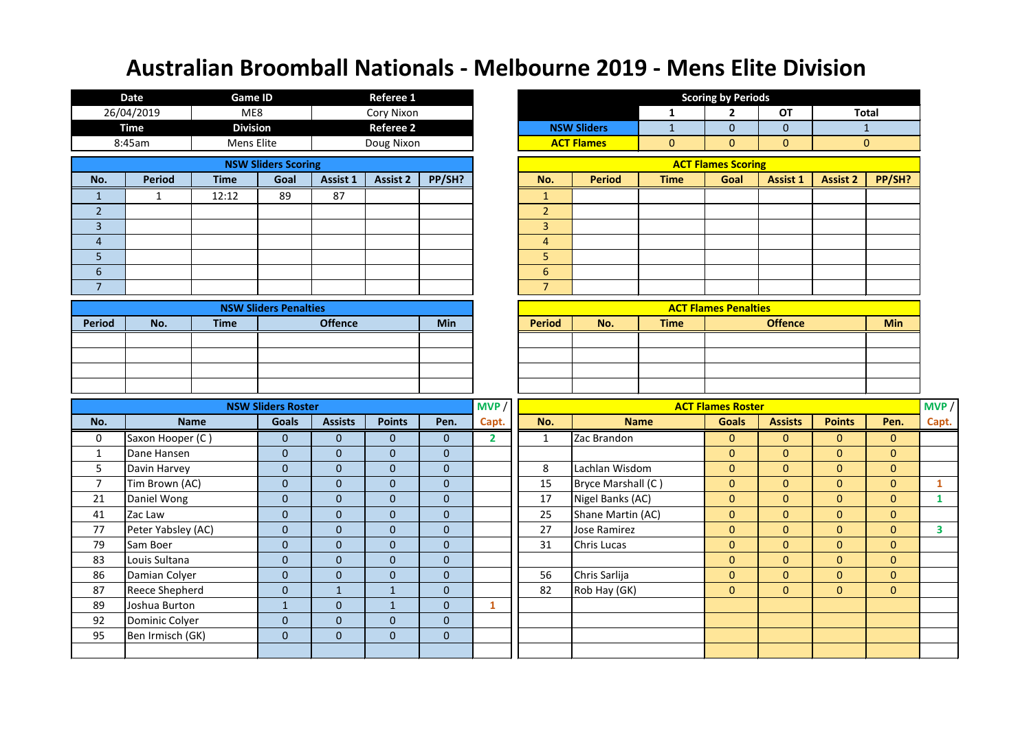|                | <b>Date</b>                     | <b>Game ID</b>  |                                |                             | <b>Referee 1</b>               |                                  |                |                  |                               |              | <b>Scoring by Periods</b>        |                                |                                  |                                  |                |
|----------------|---------------------------------|-----------------|--------------------------------|-----------------------------|--------------------------------|----------------------------------|----------------|------------------|-------------------------------|--------------|----------------------------------|--------------------------------|----------------------------------|----------------------------------|----------------|
|                | 26/04/2019                      | ME8             |                                |                             | <b>Cory Nixon</b>              |                                  |                |                  |                               | 1            | $\mathbf{2}$                     | <b>OT</b>                      |                                  | <b>Total</b>                     |                |
|                | <b>Time</b>                     | <b>Division</b> |                                |                             | <b>Referee 2</b>               |                                  |                |                  | <b>NSW Sliders</b>            | $\mathbf{1}$ | $\overline{0}$                   | $\overline{0}$                 |                                  | $\mathbf{1}$                     |                |
|                | 8:45am                          | Mens Elite      |                                |                             | Doug Nixon                     |                                  |                |                  | <b>ACT Flames</b>             | $\mathbf{0}$ | $\overline{0}$                   | $\mathbf{0}$                   |                                  | $\mathbf{0}$                     |                |
|                |                                 |                 | <b>NSW Sliders Scoring</b>     |                             |                                |                                  |                |                  |                               |              | <b>ACT Flames Scoring</b>        |                                |                                  |                                  |                |
| No.            | <b>Period</b>                   | <b>Time</b>     | Goal                           | Assist 1                    | <b>Assist 2</b>                | PP/SH?                           |                | No.              | <b>Period</b>                 | <b>Time</b>  | Goal                             | Assist 1                       | <b>Assist 2</b>                  | PP/SH?                           |                |
| $\mathbf{1}$   | $\mathbf{1}$                    | 12:12           | 89                             | 87                          |                                |                                  |                | $\mathbf{1}$     |                               |              |                                  |                                |                                  |                                  |                |
| $\overline{2}$ |                                 |                 |                                |                             |                                |                                  |                | $\overline{2}$   |                               |              |                                  |                                |                                  |                                  |                |
| $\overline{3}$ |                                 |                 |                                |                             |                                |                                  |                | 3                |                               |              |                                  |                                |                                  |                                  |                |
| $\overline{4}$ |                                 |                 |                                |                             |                                |                                  |                | $\overline{4}$   |                               |              |                                  |                                |                                  |                                  |                |
| 5              |                                 |                 |                                |                             |                                |                                  |                | 5                |                               |              |                                  |                                |                                  |                                  |                |
| $\sqrt{6}$     |                                 |                 |                                |                             |                                |                                  |                | $\boldsymbol{6}$ |                               |              |                                  |                                |                                  |                                  |                |
| $\overline{7}$ |                                 |                 |                                |                             |                                |                                  |                | $\overline{7}$   |                               |              |                                  |                                |                                  |                                  |                |
|                |                                 |                 | <b>NSW Sliders Penalties</b>   |                             |                                |                                  |                |                  |                               |              | <b>ACT Flames Penalties</b>      |                                |                                  |                                  |                |
| <b>Period</b>  | No.                             | <b>Time</b>     |                                | <b>Offence</b>              |                                | <b>Min</b>                       |                | <b>Period</b>    | No.                           | <b>Time</b>  |                                  | <b>Offence</b>                 |                                  | <b>Min</b>                       |                |
|                |                                 |                 |                                |                             |                                |                                  |                |                  |                               |              |                                  |                                |                                  |                                  |                |
|                |                                 |                 |                                |                             |                                |                                  |                |                  |                               |              |                                  |                                |                                  |                                  |                |
|                |                                 |                 |                                |                             |                                |                                  |                |                  |                               |              |                                  |                                |                                  |                                  |                |
|                |                                 |                 |                                |                             |                                |                                  |                |                  |                               |              |                                  |                                |                                  |                                  |                |
|                |                                 |                 | <b>NSW Sliders Roster</b>      |                             |                                |                                  | MVP            |                  |                               |              | <b>ACT Flames Roster</b>         |                                |                                  |                                  | MVP            |
| No.            |                                 | <b>Name</b>     | <b>Goals</b>                   | <b>Assists</b>              | <b>Points</b>                  | Pen.                             | Capt.          | No.              |                               | <b>Name</b>  | <b>Goals</b>                     | <b>Assists</b>                 | <b>Points</b>                    | Pen.                             | Capt.          |
| $\mathbf 0$    | Saxon Hooper (C)                |                 | $\overline{0}$                 | $\pmb{0}$                   | $\overline{0}$                 | $\overline{0}$                   | $\overline{2}$ | $\mathbf{1}$     | Zac Brandon                   |              | $\overline{0}$                   | $\mathbf{0}$                   | $\overline{0}$                   | $\mathbf{0}$                     |                |
| $\mathbf{1}$   | Dane Hansen                     |                 | $\mathbf{0}$                   | $\pmb{0}$                   | $\mathbf{0}$                   | $\mathbf{0}$                     |                |                  |                               |              | $\overline{0}$                   | $\mathbf{0}$                   | $\overline{0}$                   | $\mathbf{0}$                     |                |
| 5              | Davin Harvey                    |                 | $\overline{0}$                 | $\mathbf 0$                 | $\mathbf{0}$                   | $\mathbf{0}$                     |                | 8                | Lachlan Wisdom                |              | $\overline{0}$                   | $\mathbf{0}$                   | $\mathbf{0}$                     | $\mathbf{0}$                     |                |
| $\overline{7}$ | Tim Brown (AC)                  |                 | $\overline{0}$                 | $\mathbf{0}$                | $\mathbf{0}$                   | $\mathbf{0}$                     |                | 15               | Bryce Marshall (C)            |              | $\overline{0}$                   | $\mathbf{0}$                   | $\overline{0}$                   | $\mathbf{0}$                     | $\mathbf{1}$   |
| 21             | Daniel Wong                     |                 | $\overline{0}$                 | $\boldsymbol{0}$            | $\overline{0}$                 | $\boldsymbol{0}$                 |                | 17               | Nigel Banks (AC)              |              | $\overline{0}$                   | $\mathbf{0}$                   | $\overline{0}$                   | $\mathbf{0}$                     | $\mathbf{1}$   |
| 41             | Zac Law                         |                 | $\overline{0}$                 | $\pmb{0}$                   | $\overline{0}$                 | $\mathbf{0}$                     |                | 25               | Shane Martin (AC)             |              | $\overline{0}$                   | $\mathbf{0}$                   | $\overline{0}$                   | $\mathbf{0}$                     |                |
| 77             | Peter Yabsley (AC)              |                 | $\mathbf{0}$                   | $\pmb{0}$                   | $\overline{0}$                 | $\mathbf{0}$                     |                | 27               | Jose Ramirez                  |              | $\overline{0}$                   | $\mathbf{0}$                   | $\overline{0}$                   | $\mathbf{0}$                     | 3 <sup>7</sup> |
| 79             | Sam Boer                        |                 | $\overline{0}$                 | $\mathbf 0$                 | $\mathbf{0}$                   | $\boldsymbol{0}$                 |                | 31               | <b>Chris Lucas</b>            |              | $\overline{0}$                   | $\mathbf{0}$                   | $\overline{0}$                   | $\overline{0}$                   |                |
| 83             | Louis Sultana                   |                 | $\overline{0}$                 | $\mathbf{0}$                | $\mathbf{0}$                   | $\mathbf{0}$                     |                |                  |                               |              | $\overline{0}$                   | $\mathbf{0}$                   | $\overline{0}$                   | $\overline{0}$                   |                |
| 86<br>87       | Damian Colyer<br>Reece Shepherd |                 | $\overline{0}$<br>$\pmb{0}$    | $\mathbf{0}$<br>$\mathbf 1$ | $\overline{0}$<br>$\mathbf{1}$ | $\mathbf{0}$<br>$\boldsymbol{0}$ |                | 56<br>82         | Chris Sarlija<br>Rob Hay (GK) |              | $\overline{0}$<br>$\overline{0}$ | $\mathbf{0}$<br>$\overline{0}$ | $\overline{0}$<br>$\overline{0}$ | $\overline{0}$<br>$\overline{0}$ |                |
| 89             | Joshua Burton                   |                 |                                | $\pmb{0}$                   |                                | $\mathbf{0}$                     | $\mathbf{1}$   |                  |                               |              |                                  |                                |                                  |                                  |                |
| 92             | Dominic Colyer                  |                 | $\mathbf{1}$<br>$\overline{0}$ | $\boldsymbol{0}$            | $\mathbf{1}$<br>$\overline{0}$ | $\mathbf{0}$                     |                |                  |                               |              |                                  |                                |                                  |                                  |                |
| 95             | Ben Irmisch (GK)                |                 | $\boldsymbol{0}$               | $\pmb{0}$                   | $\overline{0}$                 | $\pmb{0}$                        |                |                  |                               |              |                                  |                                |                                  |                                  |                |
|                |                                 |                 |                                |                             |                                |                                  |                |                  |                               |              |                                  |                                |                                  |                                  |                |
|                |                                 |                 |                                |                             |                                |                                  |                |                  |                               |              |                                  |                                |                                  |                                  |                |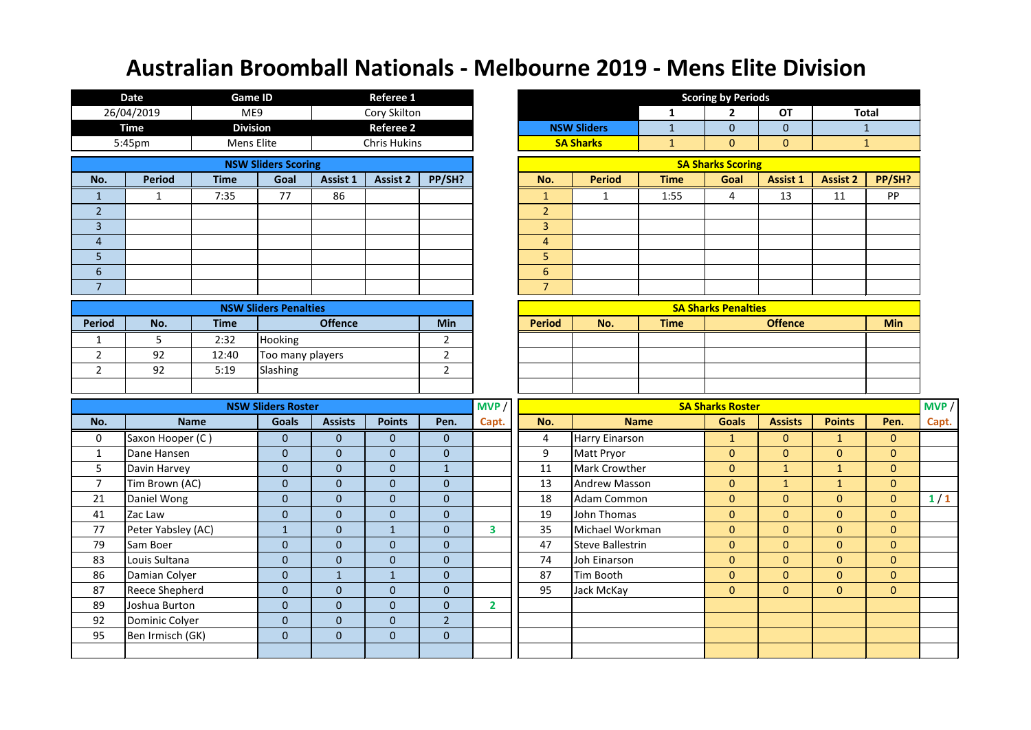|                | <b>Date</b>                        |             | <b>Game ID</b>                   |                              | <b>Referee 1</b>    |                             |                         |                 |                         |              | <b>Scoring by Periods</b>  |                 |                 |                |       |
|----------------|------------------------------------|-------------|----------------------------------|------------------------------|---------------------|-----------------------------|-------------------------|-----------------|-------------------------|--------------|----------------------------|-----------------|-----------------|----------------|-------|
|                | 26/04/2019                         |             | ME9                              |                              | Cory Skilton        |                             |                         |                 |                         | 1            | $\mathbf{2}$               | <b>OT</b>       |                 | <b>Total</b>   |       |
|                | <b>Time</b>                        |             | <b>Division</b>                  |                              | <b>Referee 2</b>    |                             |                         |                 | <b>NSW Sliders</b>      | $\mathbf{1}$ | 0                          | $\overline{0}$  |                 | $\mathbf{1}$   |       |
|                | 5:45pm                             |             | Mens Elite                       |                              | <b>Chris Hukins</b> |                             |                         |                 | <b>SA Sharks</b>        | $\mathbf{1}$ | $\mathbf{0}$               | $\overline{0}$  |                 | $\mathbf{1}$   |       |
|                |                                    |             | <b>NSW Sliders Scoring</b>       |                              |                     |                             |                         |                 |                         |              | <b>SA Sharks Scoring</b>   |                 |                 |                |       |
| No.            | <b>Period</b>                      | <b>Time</b> | Goal                             | Assist 1                     | <b>Assist 2</b>     | PP/SH?                      |                         | No.             | <b>Period</b>           | <b>Time</b>  | Goal                       | <b>Assist 1</b> | <b>Assist 2</b> | PP/SH?         |       |
| $\mathbf{1}$   | $\mathbf{1}$                       | 7:35        | 77                               | 86                           |                     |                             |                         | $\mathbf{1}$    | $\mathbf{1}$            | 1:55         | 4                          | 13              | 11              | PP             |       |
| 2 <sup>1</sup> |                                    |             |                                  |                              |                     |                             |                         | $\overline{2}$  |                         |              |                            |                 |                 |                |       |
| $\overline{3}$ |                                    |             |                                  |                              |                     |                             |                         | 3               |                         |              |                            |                 |                 |                |       |
| $\overline{4}$ |                                    |             |                                  |                              |                     |                             |                         | 4               |                         |              |                            |                 |                 |                |       |
| 5              |                                    |             |                                  |                              |                     |                             |                         | 5               |                         |              |                            |                 |                 |                |       |
| $6\phantom{a}$ |                                    |             |                                  |                              |                     |                             |                         | $6\overline{6}$ |                         |              |                            |                 |                 |                |       |
| $\overline{7}$ |                                    |             |                                  |                              |                     |                             |                         | $\overline{7}$  |                         |              |                            |                 |                 |                |       |
|                |                                    |             | <b>NSW Sliders Penalties</b>     |                              |                     |                             |                         |                 |                         |              | <b>SA Sharks Penalties</b> |                 |                 |                |       |
| <b>Period</b>  | No.                                | <b>Time</b> |                                  | <b>Offence</b>               |                     | <b>Min</b>                  |                         | <b>Period</b>   | No.                     | <b>Time</b>  |                            | <b>Offence</b>  |                 | <b>Min</b>     |       |
| $\mathbf{1}$   | 5                                  | 2:32        | Hooking                          |                              |                     | 2                           |                         |                 |                         |              |                            |                 |                 |                |       |
| $\overline{2}$ | 92                                 | 12:40       | Too many players                 |                              |                     | $\overline{2}$              |                         |                 |                         |              |                            |                 |                 |                |       |
| $\overline{2}$ | 92                                 | 5:19        | Slashing                         |                              |                     | $\overline{2}$              |                         |                 |                         |              |                            |                 |                 |                |       |
|                |                                    |             |                                  |                              |                     |                             |                         |                 |                         |              |                            |                 |                 |                |       |
|                |                                    |             | <b>NSW Sliders Roster</b>        |                              |                     |                             | MVP                     |                 |                         |              | <b>SA Sharks Roster</b>    |                 |                 |                | MVP/  |
| No.            |                                    | <b>Name</b> | <b>Goals</b>                     | <b>Assists</b>               | <b>Points</b>       | Pen.                        | Capt.                   | No.             |                         | <b>Name</b>  | <b>Goals</b>               | <b>Assists</b>  | <b>Points</b>   | Pen.           | Capt. |
| $\mathbf 0$    | Saxon Hooper (C)                   |             | $\mathbf{0}$                     | $\mathbf{0}$                 | $\overline{0}$      | $\mathbf{0}$                |                         | 4               | <b>Harry Einarson</b>   |              | $\mathbf{1}$               | $\overline{0}$  | $\mathbf{1}$    | $\overline{0}$ |       |
| $\mathbf{1}$   | Dane Hansen                        |             | $\overline{0}$                   | $\mathbf{0}$                 | $\mathbf{0}$        | $\mathbf 0$                 |                         | 9               | Matt Pryor              |              | $\mathbf{0}$               | $\overline{0}$  | $\mathbf{0}$    | $\mathbf{0}$   |       |
| 5              | Davin Harvey                       |             | $\overline{0}$                   | $\pmb{0}$                    | $\overline{0}$      | $\mathbf{1}$                |                         | 11              | Mark Crowther           |              | $\mathbf{0}$               | $\mathbf{1}$    | $\mathbf{1}$    | $\mathbf{0}$   |       |
| $\overline{7}$ | Tim Brown (AC)                     |             | $\overline{0}$                   | $\mathbf{0}$                 | $\overline{0}$      | $\mathbf 0$                 |                         | 13              | <b>Andrew Masson</b>    |              | $\mathbf{0}$               | $\mathbf 1$     | $\mathbf{1}$    | $\mathbf{0}$   |       |
| 21             | Daniel Wong                        |             | $\overline{0}$                   | $\mathbf{0}$                 | $\overline{0}$      | $\mathbf 0$                 |                         | 18              | <b>Adam Common</b>      |              | $\mathbf{0}$               | $\mathbf{0}$    | $\overline{0}$  | $\mathbf{0}$   | 1/1   |
| 41             | Zac Law                            |             | $\overline{0}$                   | $\mathbf{0}$                 | $\overline{0}$      | $\mathbf 0$                 |                         | 19              | John Thomas             |              | $\mathbf{0}$               | $\overline{0}$  | $\overline{0}$  | $\mathbf{0}$   |       |
| 77             | Peter Yabsley (AC)                 |             | $\mathbf{1}$                     | $\mathbf{0}$                 | $\mathbf{1}$        | $\mathbf 0$                 | $\overline{\mathbf{3}}$ | 35              | Michael Workman         |              | $\mathbf{0}$               | $\mathbf{0}$    | $\overline{0}$  | $\mathbf{0}$   |       |
| 79             | Sam Boer                           |             | $\overline{0}$                   | $\pmb{0}$                    | $\mathbf{0}$        | $\mathbf 0$                 |                         | 47              | <b>Steve Ballestrin</b> |              | $\mathbf{0}$               | $\overline{0}$  | $\overline{0}$  | $\mathbf{0}$   |       |
| 83             | Louis Sultana                      |             | $\mathbf{0}$                     | $\mathbf{0}$                 | $\mathbf{0}$        | $\mathbf 0$                 |                         | 74              | Joh Einarson            |              | $\Omega$                   | $\mathbf{0}$    | $\overline{0}$  | $\mathbf{0}$   |       |
| 86             | Damian Colyer                      |             | $\mathbf{0}$                     | $\mathbf{1}$                 | $\mathbf{1}$        | $\pmb{0}$                   |                         | 87              | Tim Booth               |              | $\overline{0}$             | $\overline{0}$  | $\overline{0}$  | $\overline{0}$ |       |
| 87             | <b>Reece Shepherd</b>              |             | $\mathbf{0}$                     | $\mathbf{0}$                 | $\overline{0}$      | $\pmb{0}$                   |                         | 95              | Jack McKay              |              | $\overline{0}$             | $\overline{0}$  | $\overline{0}$  | $\overline{0}$ |       |
| 89             | Joshua Burton                      |             | $\mathbf{0}$                     | $\mathbf{0}$                 | $\overline{0}$      | $\pmb{0}$                   | $\mathbf{2}$            |                 |                         |              |                            |                 |                 |                |       |
| 92<br>95       | Dominic Colyer<br>Ben Irmisch (GK) |             | $\overline{0}$<br>$\overline{0}$ | $\mathbf{0}$<br>$\mathbf{0}$ | $\overline{0}$      | $\overline{2}$<br>$\pmb{0}$ |                         |                 |                         |              |                            |                 |                 |                |       |
|                |                                    |             |                                  |                              | $\overline{0}$      |                             |                         |                 |                         |              |                            |                 |                 |                |       |
|                |                                    |             |                                  |                              |                     |                             |                         |                 |                         |              |                            |                 |                 |                |       |